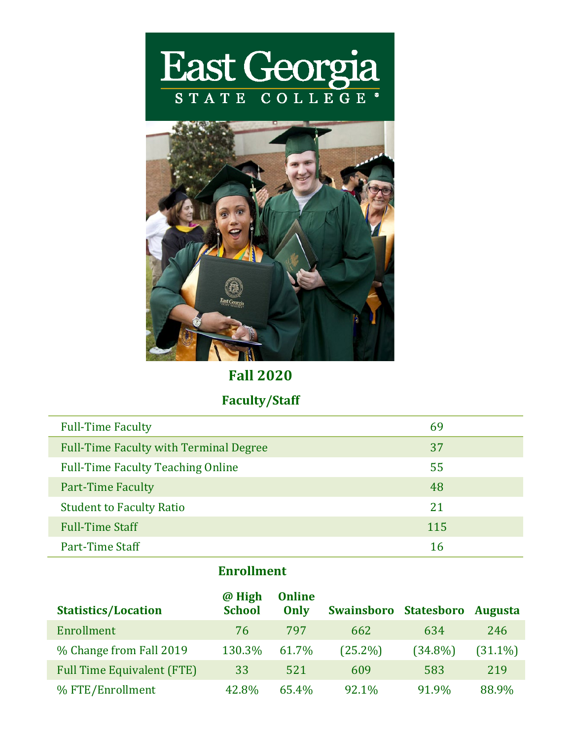



**Fall 2020**

# **Faculty/Staff**

| <b>Full-Time Faculty</b>                      | 69  |
|-----------------------------------------------|-----|
| <b>Full-Time Faculty with Terminal Degree</b> | 37  |
| <b>Full-Time Faculty Teaching Online</b>      | 55  |
| <b>Part-Time Faculty</b>                      | 48  |
| <b>Student to Faculty Ratio</b>               | 21  |
| <b>Full-Time Staff</b>                        | 115 |
| Part-Time Staff                               | 16  |

## **Enrollment**

| <b>Statistics/Location</b>        | @ High<br><b>School</b> | <b>Online</b><br>Only | Swainsboro Statesboro |            | <b>Augusta</b> |
|-----------------------------------|-------------------------|-----------------------|-----------------------|------------|----------------|
| Enrollment                        | 76                      | 797                   | 662                   | 634        | 246            |
| % Change from Fall 2019           | 130.3%                  | 61.7%                 | $(25.2\%)$            | $(34.8\%)$ | $(31.1\%)$     |
| <b>Full Time Equivalent (FTE)</b> | 33                      | 521                   | 609                   | 583        | 219            |
| % FTE/Enrollment                  | 42.8%                   | 65.4%                 | 92.1%                 | 91.9%      | 88.9%          |